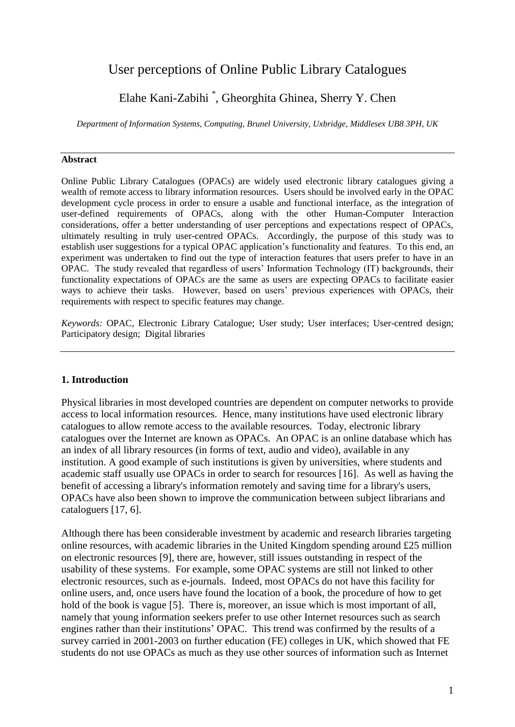# User perceptions of Online Public Library Catalogues

# Elahe Kani-Zabihi \* , Gheorghita Ghinea, Sherry Y. Chen

*Department of Information Systems, Computing, Brunel University, Uxbridge, Middlesex UB8 3PH, UK*

#### **Abstract**

Online Public Library Catalogues (OPACs) are widely used electronic library catalogues giving a wealth of remote access to library information resources. Users should be involved early in the OPAC development cycle process in order to ensure a usable and functional interface, as the integration of user-defined requirements of OPACs, along with the other Human-Computer Interaction considerations, offer a better understanding of user perceptions and expectations respect of OPACs, ultimately resulting in truly user-centred OPACs. Accordingly, the purpose of this study was to establish user suggestions for a typical OPAC application's functionality and features. To this end, an experiment was undertaken to find out the type of interaction features that users prefer to have in an OPAC. The study revealed that regardless of users' Information Technology (IT) backgrounds, their functionality expectations of OPACs are the same as users are expecting OPACs to facilitate easier ways to achieve their tasks. However, based on users' previous experiences with OPACs, their requirements with respect to specific features may change.

*Keywords:* OPAC, Electronic Library Catalogue; User study; User interfaces; User-centred design; Participatory design; Digital libraries

#### **1. Introduction**

Physical libraries in most developed countries are dependent on computer networks to provide access to local information resources. Hence, many institutions have used electronic library catalogues to allow remote access to the available resources. Today, electronic library catalogues over the Internet are known as OPACs. An OPAC is an online database which has an index of all library resources (in forms of text, audio and video), available in any institution. A good example of such institutions is given by universities, where students and academic staff usually use OPACs in order to search for resources [16]. As well as having the benefit of accessing a library's information remotely and saving time for a library's users, OPACs have also been shown to improve the communication between subject librarians and cataloguers [17, 6].

Although there has been considerable investment by academic and research libraries targeting online resources, with academic libraries in the United Kingdom spending around £25 million on electronic resources [9], there are, however, still issues outstanding in respect of the usability of these systems. For example, some OPAC systems are still not linked to other electronic resources, such as e-journals. Indeed, most OPACs do not have this facility for online users, and, once users have found the location of a book, the procedure of how to get hold of the book is vague [5]. There is, moreover, an issue which is most important of all, namely that young information seekers prefer to use other Internet resources such as search engines rather than their institutions' OPAC. This trend was confirmed by the results of a survey carried in 2001-2003 on further education (FE) colleges in UK, which showed that FE students do not use OPACs as much as they use other sources of information such as Internet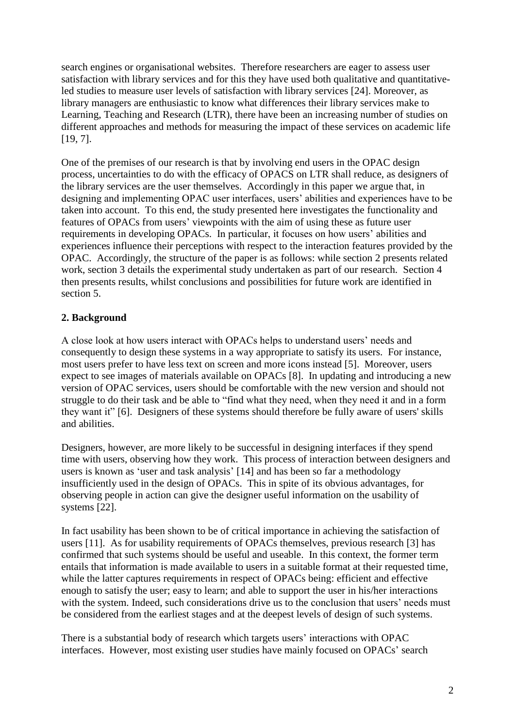search engines or organisational websites. Therefore researchers are eager to assess user satisfaction with library services and for this they have used both qualitative and quantitativeled studies to measure user levels of satisfaction with library services [24]. Moreover, as library managers are enthusiastic to know what differences their library services make to Learning, Teaching and Research (LTR), there have been an increasing number of studies on different approaches and methods for measuring the impact of these services on academic life [19, 7].

One of the premises of our research is that by involving end users in the OPAC design process, uncertainties to do with the efficacy of OPACS on LTR shall reduce, as designers of the library services are the user themselves. Accordingly in this paper we argue that, in designing and implementing OPAC user interfaces, users' abilities and experiences have to be taken into account. To this end, the study presented here investigates the functionality and features of OPACs from users' viewpoints with the aim of using these as future user requirements in developing OPACs. In particular, it focuses on how users' abilities and experiences influence their perceptions with respect to the interaction features provided by the OPAC. Accordingly, the structure of the paper is as follows: while section 2 presents related work, section 3 details the experimental study undertaken as part of our research. Section 4 then presents results, whilst conclusions and possibilities for future work are identified in section 5.

## **2. Background**

A close look at how users interact with OPACs helps to understand users' needs and consequently to design these systems in a way appropriate to satisfy its users. For instance, most users prefer to have less text on screen and more icons instead [5]. Moreover, users expect to see images of materials available on OPACs [8]. In updating and introducing a new version of OPAC services, users should be comfortable with the new version and should not struggle to do their task and be able to "find what they need, when they need it and in a form they want it" [6]. Designers of these systems should therefore be fully aware of users' skills and abilities.

Designers, however, are more likely to be successful in designing interfaces if they spend time with users, observing how they work. This process of interaction between designers and users is known as 'user and task analysis' [14] and has been so far a methodology insufficiently used in the design of OPACs. This in spite of its obvious advantages, for observing people in action can give the designer useful information on the usability of systems [22].

In fact usability has been shown to be of critical importance in achieving the satisfaction of users [11]. As for usability requirements of OPACs themselves, previous research [3] has confirmed that such systems should be useful and useable. In this context, the former term entails that information is made available to users in a suitable format at their requested time, while the latter captures requirements in respect of OPACs being: efficient and effective enough to satisfy the user; easy to learn; and able to support the user in his/her interactions with the system. Indeed, such considerations drive us to the conclusion that users' needs must be considered from the earliest stages and at the deepest levels of design of such systems.

There is a substantial body of research which targets users' interactions with OPAC interfaces. However, most existing user studies have mainly focused on OPACs' search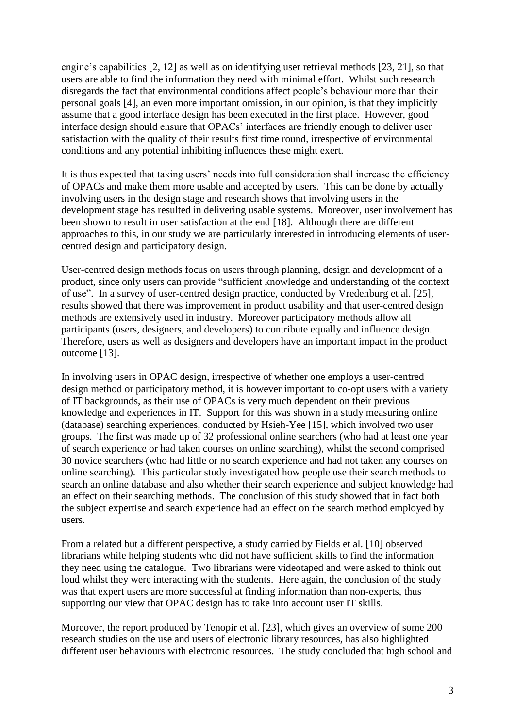engine's capabilities [2, 12] as well as on identifying user retrieval methods [23, 21], so that users are able to find the information they need with minimal effort. Whilst such research disregards the fact that environmental conditions affect people's behaviour more than their personal goals [4], an even more important omission, in our opinion, is that they implicitly assume that a good interface design has been executed in the first place. However, good interface design should ensure that OPACs' interfaces are friendly enough to deliver user satisfaction with the quality of their results first time round, irrespective of environmental conditions and any potential inhibiting influences these might exert.

It is thus expected that taking users' needs into full consideration shall increase the efficiency of OPACs and make them more usable and accepted by users. This can be done by actually involving users in the design stage and research shows that involving users in the development stage has resulted in delivering usable systems. Moreover, user involvement has been shown to result in user satisfaction at the end [18]. Although there are different approaches to this, in our study we are particularly interested in introducing elements of usercentred design and participatory design.

User-centred design methods focus on users through planning, design and development of a product, since only users can provide "sufficient knowledge and understanding of the context of use". In a survey of user-centred design practice, conducted by Vredenburg et al. [25], results showed that there was improvement in product usability and that user-centred design methods are extensively used in industry. Moreover participatory methods allow all participants (users, designers, and developers) to contribute equally and influence design. Therefore, users as well as designers and developers have an important impact in the product outcome [13].

In involving users in OPAC design, irrespective of whether one employs a user-centred design method or participatory method, it is however important to co-opt users with a variety of IT backgrounds, as their use of OPACs is very much dependent on their previous knowledge and experiences in IT. Support for this was shown in a study measuring online (database) searching experiences, conducted by Hsieh-Yee [15], which involved two user groups. The first was made up of 32 professional online searchers (who had at least one year of search experience or had taken courses on online searching), whilst the second comprised 30 novice searchers (who had little or no search experience and had not taken any courses on online searching). This particular study investigated how people use their search methods to search an online database and also whether their search experience and subject knowledge had an effect on their searching methods. The conclusion of this study showed that in fact both the subject expertise and search experience had an effect on the search method employed by users.

From a related but a different perspective, a study carried by Fields et al. [10] observed librarians while helping students who did not have sufficient skills to find the information they need using the catalogue. Two librarians were videotaped and were asked to think out loud whilst they were interacting with the students. Here again, the conclusion of the study was that expert users are more successful at finding information than non-experts, thus supporting our view that OPAC design has to take into account user IT skills.

Moreover, the report produced by Tenopir et al. [23], which gives an overview of some 200 research studies on the use and users of electronic library resources, has also highlighted different user behaviours with electronic resources. The study concluded that high school and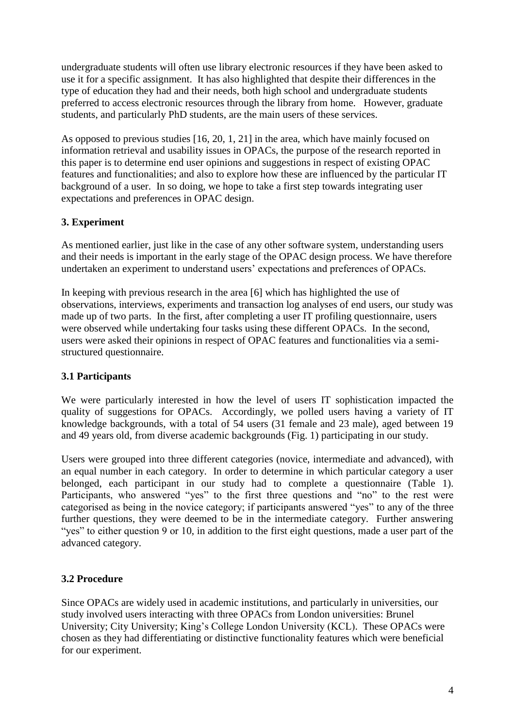undergraduate students will often use library electronic resources if they have been asked to use it for a specific assignment. It has also highlighted that despite their differences in the type of education they had and their needs, both high school and undergraduate students preferred to access electronic resources through the library from home. However, graduate students, and particularly PhD students, are the main users of these services.

As opposed to previous studies [16, 20, 1, 21] in the area, which have mainly focused on information retrieval and usability issues in OPACs, the purpose of the research reported in this paper is to determine end user opinions and suggestions in respect of existing OPAC features and functionalities; and also to explore how these are influenced by the particular IT background of a user. In so doing, we hope to take a first step towards integrating user expectations and preferences in OPAC design.

## **3. Experiment**

As mentioned earlier, just like in the case of any other software system, understanding users and their needs is important in the early stage of the OPAC design process. We have therefore undertaken an experiment to understand users' expectations and preferences of OPACs.

In keeping with previous research in the area [6] which has highlighted the use of observations, interviews, experiments and transaction log analyses of end users, our study was made up of two parts. In the first, after completing a user IT profiling questionnaire, users were observed while undertaking four tasks using these different OPACs. In the second, users were asked their opinions in respect of OPAC features and functionalities via a semistructured questionnaire.

# **3.1 Participants**

We were particularly interested in how the level of users IT sophistication impacted the quality of suggestions for OPACs. Accordingly, we polled users having a variety of IT knowledge backgrounds, with a total of 54 users (31 female and 23 male), aged between 19 and 49 years old, from diverse academic backgrounds (Fig. 1) participating in our study.

Users were grouped into three different categories (novice, intermediate and advanced), with an equal number in each category. In order to determine in which particular category a user belonged, each participant in our study had to complete a questionnaire (Table 1). Participants, who answered "yes" to the first three questions and "no" to the rest were categorised as being in the novice category; if participants answered "yes" to any of the three further questions, they were deemed to be in the intermediate category. Further answering "yes" to either question 9 or 10, in addition to the first eight questions, made a user part of the advanced category.

# **3.2 Procedure**

Since OPACs are widely used in academic institutions, and particularly in universities, our study involved users interacting with three OPACs from London universities: Brunel University; City University; King's College London University (KCL). These OPACs were chosen as they had differentiating or distinctive functionality features which were beneficial for our experiment.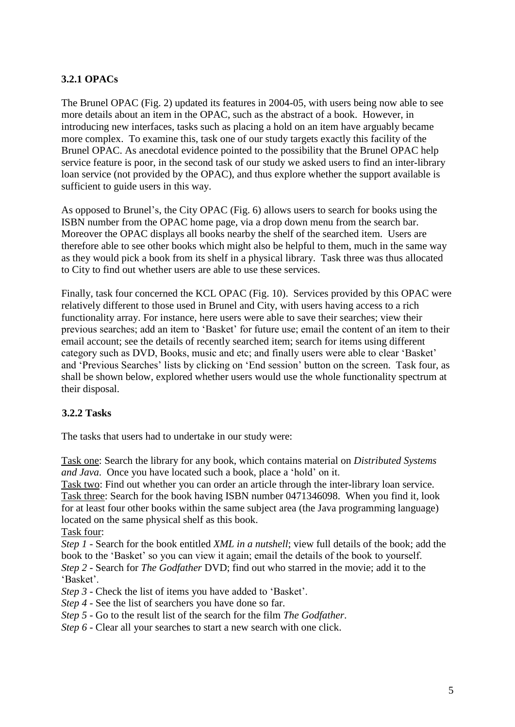### **3.2.1 OPACs**

The Brunel OPAC (Fig. 2) updated its features in 2004-05, with users being now able to see more details about an item in the OPAC, such as the abstract of a book. However, in introducing new interfaces, tasks such as placing a hold on an item have arguably became more complex. To examine this, task one of our study targets exactly this facility of the Brunel OPAC. As anecdotal evidence pointed to the possibility that the Brunel OPAC help service feature is poor, in the second task of our study we asked users to find an inter-library loan service (not provided by the OPAC), and thus explore whether the support available is sufficient to guide users in this way.

As opposed to Brunel's, the City OPAC (Fig. 6) allows users to search for books using the ISBN number from the OPAC home page, via a drop down menu from the search bar. Moreover the OPAC displays all books nearby the shelf of the searched item. Users are therefore able to see other books which might also be helpful to them, much in the same way as they would pick a book from its shelf in a physical library. Task three was thus allocated to City to find out whether users are able to use these services.

Finally, task four concerned the KCL OPAC (Fig. 10). Services provided by this OPAC were relatively different to those used in Brunel and City, with users having access to a rich functionality array. For instance, here users were able to save their searches; view their previous searches; add an item to 'Basket' for future use; email the content of an item to their email account; see the details of recently searched item; search for items using different category such as DVD, Books, music and etc; and finally users were able to clear 'Basket' and 'Previous Searches' lists by clicking on 'End session' button on the screen. Task four, as shall be shown below, explored whether users would use the whole functionality spectrum at their disposal.

### **3.2.2 Tasks**

The tasks that users had to undertake in our study were:

Task one: Search the library for any book, which contains material on *Distributed Systems and Java*. Once you have located such a book, place a 'hold' on it.

Task two: Find out whether you can order an article through the inter-library loan service. Task three: Search for the book having ISBN number 0471346098. When you find it, look for at least four other books within the same subject area (the Java programming language) located on the same physical shelf as this book.

Task four:

*Step 1* - Search for the book entitled *XML in a nutshell*; view full details of the book; add the book to the 'Basket' so you can view it again; email the details of the book to yourself. *Step 2* - Search for *The Godfather* DVD; find out who starred in the movie; add it to the 'Basket'.

*Step 3* - Check the list of items you have added to 'Basket'.

- *Step 4* See the list of searchers you have done so far.
- *Step 5* Go to the result list of the search for the film *The Godfather*.
- *Step 6* Clear all your searches to start a new search with one click.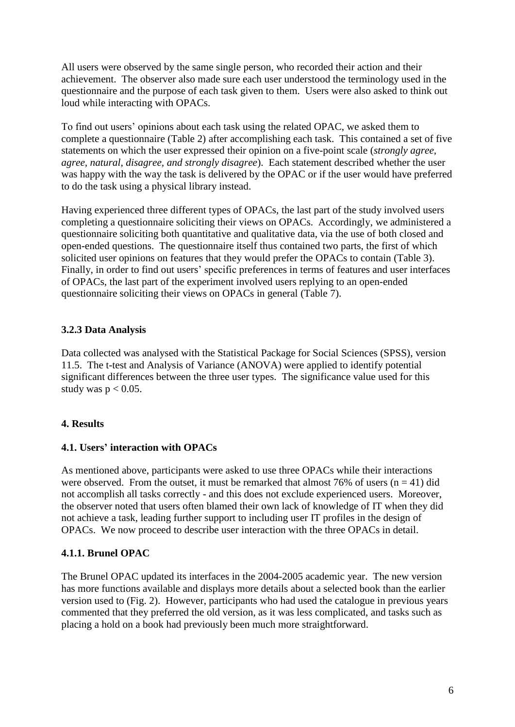All users were observed by the same single person, who recorded their action and their achievement. The observer also made sure each user understood the terminology used in the questionnaire and the purpose of each task given to them. Users were also asked to think out loud while interacting with OPACs.

To find out users' opinions about each task using the related OPAC, we asked them to complete a questionnaire (Table 2) after accomplishing each task. This contained a set of five statements on which the user expressed their opinion on a five-point scale (*strongly agree, agree, natural, disagree, and strongly disagree*). Each statement described whether the user was happy with the way the task is delivered by the OPAC or if the user would have preferred to do the task using a physical library instead.

Having experienced three different types of OPACs, the last part of the study involved users completing a questionnaire soliciting their views on OPACs. Accordingly, we administered a questionnaire soliciting both quantitative and qualitative data, via the use of both closed and open-ended questions. The questionnaire itself thus contained two parts, the first of which solicited user opinions on features that they would prefer the OPACs to contain (Table 3). Finally, in order to find out users' specific preferences in terms of features and user interfaces of OPACs, the last part of the experiment involved users replying to an open-ended questionnaire soliciting their views on OPACs in general (Table 7).

## **3.2.3 Data Analysis**

Data collected was analysed with the Statistical Package for Social Sciences (SPSS), version 11.5. The t-test and Analysis of Variance (ANOVA) were applied to identify potential significant differences between the three user types. The significance value used for this study was  $p < 0.05$ .

# **4. Results**

# **4.1. Users' interaction with OPACs**

As mentioned above, participants were asked to use three OPACs while their interactions were observed. From the outset, it must be remarked that almost 76% of users  $(n = 41)$  did not accomplish all tasks correctly - and this does not exclude experienced users. Moreover, the observer noted that users often blamed their own lack of knowledge of IT when they did not achieve a task, leading further support to including user IT profiles in the design of OPACs. We now proceed to describe user interaction with the three OPACs in detail.

### **4.1.1. Brunel OPAC**

The Brunel OPAC updated its interfaces in the 2004-2005 academic year. The new version has more functions available and displays more details about a selected book than the earlier version used to (Fig. 2). However, participants who had used the catalogue in previous years commented that they preferred the old version, as it was less complicated, and tasks such as placing a hold on a book had previously been much more straightforward.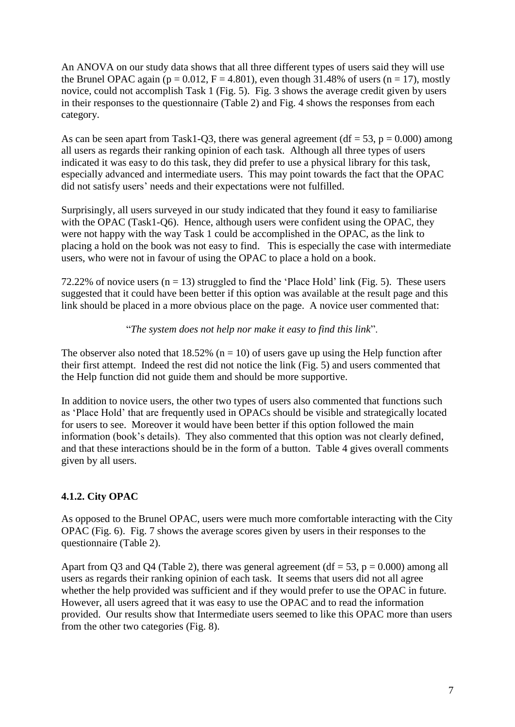An ANOVA on our study data shows that all three different types of users said they will use the Brunel OPAC again ( $p = 0.012$ ,  $F = 4.801$ ), even though 31.48% of users ( $n = 17$ ), mostly novice, could not accomplish Task 1 (Fig. 5). Fig. 3 shows the average credit given by users in their responses to the questionnaire (Table 2) and Fig. 4 shows the responses from each category.

As can be seen apart from Task1-Q3, there was general agreement (df = 53, p =  $0.000$ ) among all users as regards their ranking opinion of each task. Although all three types of users indicated it was easy to do this task, they did prefer to use a physical library for this task, especially advanced and intermediate users. This may point towards the fact that the OPAC did not satisfy users' needs and their expectations were not fulfilled.

Surprisingly, all users surveyed in our study indicated that they found it easy to familiarise with the OPAC (Task1-Q6). Hence, although users were confident using the OPAC, they were not happy with the way Task 1 could be accomplished in the OPAC, as the link to placing a hold on the book was not easy to find. This is especially the case with intermediate users, who were not in favour of using the OPAC to place a hold on a book.

72.22% of novice users  $(n = 13)$  struggled to find the 'Place Hold' link (Fig. 5). These users suggested that it could have been better if this option was available at the result page and this link should be placed in a more obvious place on the page. A novice user commented that:

"*The system does not help nor make it easy to find this link*".

The observer also noted that  $18.52\%$  (n = 10) of users gave up using the Help function after their first attempt. Indeed the rest did not notice the link (Fig. 5) and users commented that the Help function did not guide them and should be more supportive.

In addition to novice users, the other two types of users also commented that functions such as 'Place Hold' that are frequently used in OPACs should be visible and strategically located for users to see. Moreover it would have been better if this option followed the main information (book's details). They also commented that this option was not clearly defined, and that these interactions should be in the form of a button. Table 4 gives overall comments given by all users.

# **4.1.2. City OPAC**

As opposed to the Brunel OPAC, users were much more comfortable interacting with the City OPAC (Fig. 6). Fig. 7 shows the average scores given by users in their responses to the questionnaire (Table 2).

Apart from Q3 and Q4 (Table 2), there was general agreement (df = 53, p = 0.000) among all users as regards their ranking opinion of each task. It seems that users did not all agree whether the help provided was sufficient and if they would prefer to use the OPAC in future. However, all users agreed that it was easy to use the OPAC and to read the information provided. Our results show that Intermediate users seemed to like this OPAC more than users from the other two categories (Fig. 8).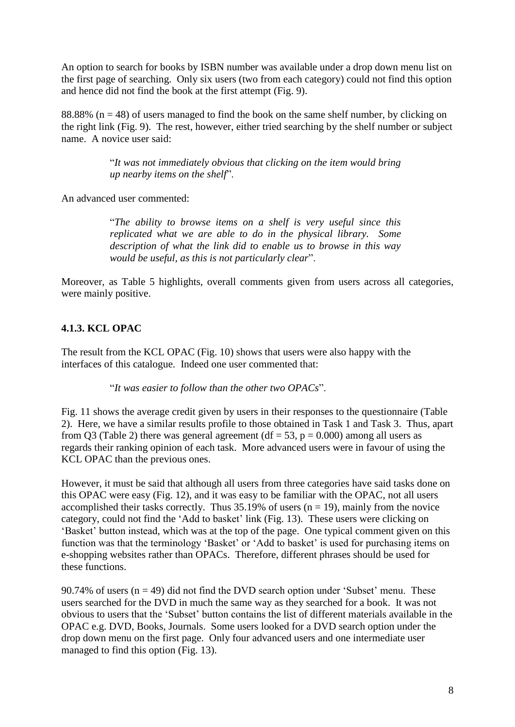An option to search for books by ISBN number was available under a drop down menu list on the first page of searching. Only six users (two from each category) could not find this option and hence did not find the book at the first attempt (Fig. 9).

88.88% ( $n = 48$ ) of users managed to find the book on the same shelf number, by clicking on the right link (Fig. 9). The rest, however, either tried searching by the shelf number or subject name. A novice user said:

> "*It was not immediately obvious that clicking on the item would bring up nearby items on the shelf*".

An advanced user commented:

"*The ability to browse items on a shelf is very useful since this replicated what we are able to do in the physical library. Some description of what the link did to enable us to browse in this way would be useful, as this is not particularly clear*".

Moreover, as Table 5 highlights, overall comments given from users across all categories, were mainly positive.

## **4.1.3. KCL OPAC**

The result from the KCL OPAC (Fig. 10) shows that users were also happy with the interfaces of this catalogue. Indeed one user commented that:

"*It was easier to follow than the other two OPACs*".

Fig. 11 shows the average credit given by users in their responses to the questionnaire (Table 2). Here, we have a similar results profile to those obtained in Task 1 and Task 3. Thus, apart from Q3 (Table 2) there was general agreement (df = 53, p = 0.000) among all users as regards their ranking opinion of each task. More advanced users were in favour of using the KCL OPAC than the previous ones.

However, it must be said that although all users from three categories have said tasks done on this OPAC were easy (Fig. 12), and it was easy to be familiar with the OPAC, not all users accomplished their tasks correctly. Thus  $35.19\%$  of users (n = 19), mainly from the novice category, could not find the 'Add to basket' link (Fig. 13). These users were clicking on 'Basket' button instead, which was at the top of the page. One typical comment given on this function was that the terminology 'Basket' or 'Add to basket' is used for purchasing items on e-shopping websites rather than OPACs. Therefore, different phrases should be used for these functions.

90.74% of users  $(n = 49)$  did not find the DVD search option under 'Subset' menu. These users searched for the DVD in much the same way as they searched for a book. It was not obvious to users that the 'Subset' button contains the list of different materials available in the OPAC e.g. DVD, Books, Journals. Some users looked for a DVD search option under the drop down menu on the first page. Only four advanced users and one intermediate user managed to find this option (Fig. 13).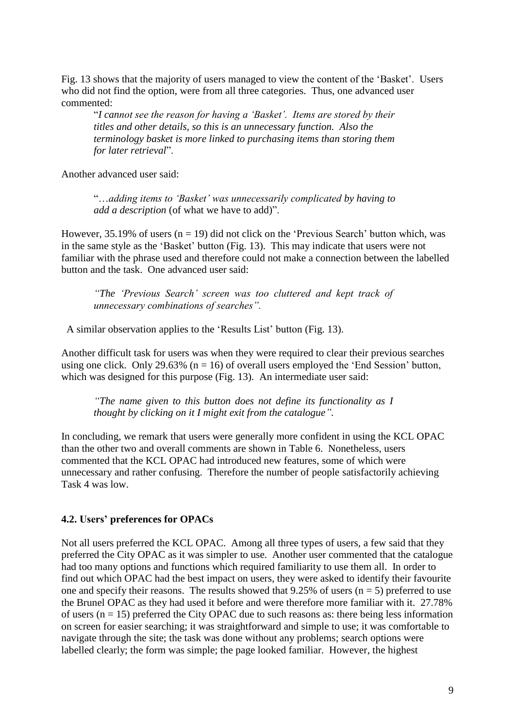Fig. 13 shows that the majority of users managed to view the content of the 'Basket'. Users who did not find the option, were from all three categories. Thus, one advanced user commented:

"*I cannot see the reason for having a 'Basket'. Items are stored by their titles and other details, so this is an unnecessary function. Also the terminology basket is more linked to purchasing items than storing them for later retrieval*".

Another advanced user said:

"…*adding items to 'Basket' was unnecessarily complicated by having to add a description* (of what we have to add)".

However, 35.19% of users ( $n = 19$ ) did not click on the 'Previous Search' button which, was in the same style as the 'Basket' button (Fig. 13). This may indicate that users were not familiar with the phrase used and therefore could not make a connection between the labelled button and the task. One advanced user said:

*"The 'Previous Search' screen was too cluttered and kept track of unnecessary combinations of searches".*

A similar observation applies to the 'Results List' button (Fig. 13).

Another difficult task for users was when they were required to clear their previous searches using one click. Only 29.63% ( $n = 16$ ) of overall users employed the 'End Session' button, which was designed for this purpose (Fig. 13). An intermediate user said:

*"The name given to this button does not define its functionality as I thought by clicking on it I might exit from the catalogue".*

In concluding, we remark that users were generally more confident in using the KCL OPAC than the other two and overall comments are shown in Table 6. Nonetheless, users commented that the KCL OPAC had introduced new features, some of which were unnecessary and rather confusing. Therefore the number of people satisfactorily achieving Task 4 was low.

#### **4.2. Users' preferences for OPACs**

Not all users preferred the KCL OPAC. Among all three types of users, a few said that they preferred the City OPAC as it was simpler to use. Another user commented that the catalogue had too many options and functions which required familiarity to use them all. In order to find out which OPAC had the best impact on users, they were asked to identify their favourite one and specify their reasons. The results showed that 9.25% of users ( $n = 5$ ) preferred to use the Brunel OPAC as they had used it before and were therefore more familiar with it. 27.78% of users  $(n = 15)$  preferred the City OPAC due to such reasons as: there being less information on screen for easier searching; it was straightforward and simple to use; it was comfortable to navigate through the site; the task was done without any problems; search options were labelled clearly; the form was simple; the page looked familiar. However, the highest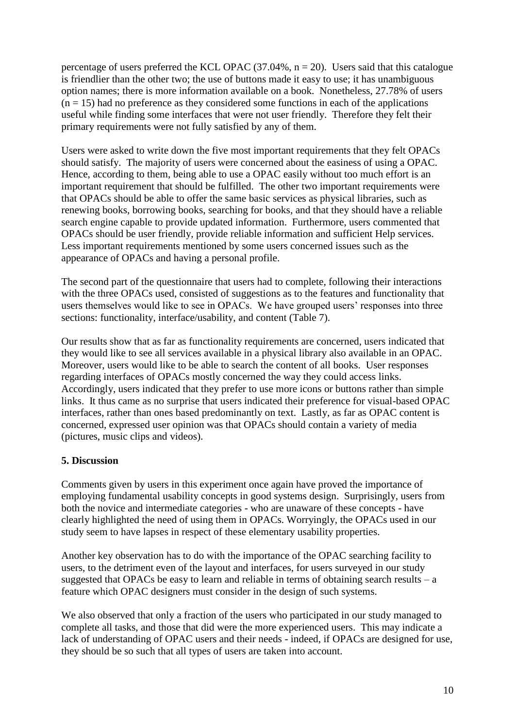percentage of users preferred the KCL OPAC  $(37.04\%, n = 20)$ . Users said that this catalogue is friendlier than the other two; the use of buttons made it easy to use; it has unambiguous option names; there is more information available on a book. Nonetheless, 27.78% of users  $(n = 15)$  had no preference as they considered some functions in each of the applications useful while finding some interfaces that were not user friendly. Therefore they felt their primary requirements were not fully satisfied by any of them.

Users were asked to write down the five most important requirements that they felt OPACs should satisfy. The majority of users were concerned about the easiness of using a OPAC. Hence, according to them, being able to use a OPAC easily without too much effort is an important requirement that should be fulfilled. The other two important requirements were that OPACs should be able to offer the same basic services as physical libraries, such as renewing books, borrowing books, searching for books, and that they should have a reliable search engine capable to provide updated information. Furthermore, users commented that OPACs should be user friendly, provide reliable information and sufficient Help services. Less important requirements mentioned by some users concerned issues such as the appearance of OPACs and having a personal profile.

The second part of the questionnaire that users had to complete, following their interactions with the three OPACs used, consisted of suggestions as to the features and functionality that users themselves would like to see in OPACs. We have grouped users' responses into three sections: functionality, interface/usability, and content (Table 7).

Our results show that as far as functionality requirements are concerned, users indicated that they would like to see all services available in a physical library also available in an OPAC. Moreover, users would like to be able to search the content of all books. User responses regarding interfaces of OPACs mostly concerned the way they could access links. Accordingly, users indicated that they prefer to use more icons or buttons rather than simple links. It thus came as no surprise that users indicated their preference for visual-based OPAC interfaces, rather than ones based predominantly on text. Lastly, as far as OPAC content is concerned, expressed user opinion was that OPACs should contain a variety of media (pictures, music clips and videos).

### **5. Discussion**

Comments given by users in this experiment once again have proved the importance of employing fundamental usability concepts in good systems design. Surprisingly, users from both the novice and intermediate categories - who are unaware of these concepts - have clearly highlighted the need of using them in OPACs. Worryingly, the OPACs used in our study seem to have lapses in respect of these elementary usability properties.

Another key observation has to do with the importance of the OPAC searching facility to users, to the detriment even of the layout and interfaces, for users surveyed in our study suggested that OPACs be easy to learn and reliable in terms of obtaining search results –  $a$ feature which OPAC designers must consider in the design of such systems.

We also observed that only a fraction of the users who participated in our study managed to complete all tasks, and those that did were the more experienced users. This may indicate a lack of understanding of OPAC users and their needs - indeed, if OPACs are designed for use, they should be so such that all types of users are taken into account.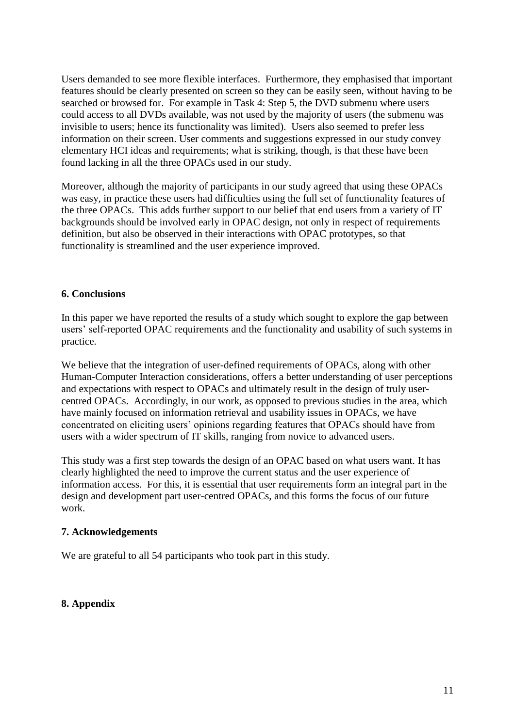Users demanded to see more flexible interfaces. Furthermore, they emphasised that important features should be clearly presented on screen so they can be easily seen, without having to be searched or browsed for. For example in Task 4: Step 5, the DVD submenu where users could access to all DVDs available, was not used by the majority of users (the submenu was invisible to users; hence its functionality was limited). Users also seemed to prefer less information on their screen. User comments and suggestions expressed in our study convey elementary HCI ideas and requirements; what is striking, though, is that these have been found lacking in all the three OPACs used in our study.

Moreover, although the majority of participants in our study agreed that using these OPACs was easy, in practice these users had difficulties using the full set of functionality features of the three OPACs. This adds further support to our belief that end users from a variety of IT backgrounds should be involved early in OPAC design, not only in respect of requirements definition, but also be observed in their interactions with OPAC prototypes, so that functionality is streamlined and the user experience improved.

### **6. Conclusions**

In this paper we have reported the results of a study which sought to explore the gap between users' self-reported OPAC requirements and the functionality and usability of such systems in practice.

We believe that the integration of user-defined requirements of OPACs, along with other Human-Computer Interaction considerations, offers a better understanding of user perceptions and expectations with respect to OPACs and ultimately result in the design of truly usercentred OPACs. Accordingly, in our work, as opposed to previous studies in the area, which have mainly focused on information retrieval and usability issues in OPACs, we have concentrated on eliciting users' opinions regarding features that OPACs should have from users with a wider spectrum of IT skills, ranging from novice to advanced users.

This study was a first step towards the design of an OPAC based on what users want. It has clearly highlighted the need to improve the current status and the user experience of information access. For this, it is essential that user requirements form an integral part in the design and development part user-centred OPACs, and this forms the focus of our future work.

#### **7. Acknowledgements**

We are grateful to all 54 participants who took part in this study.

### **8. Appendix**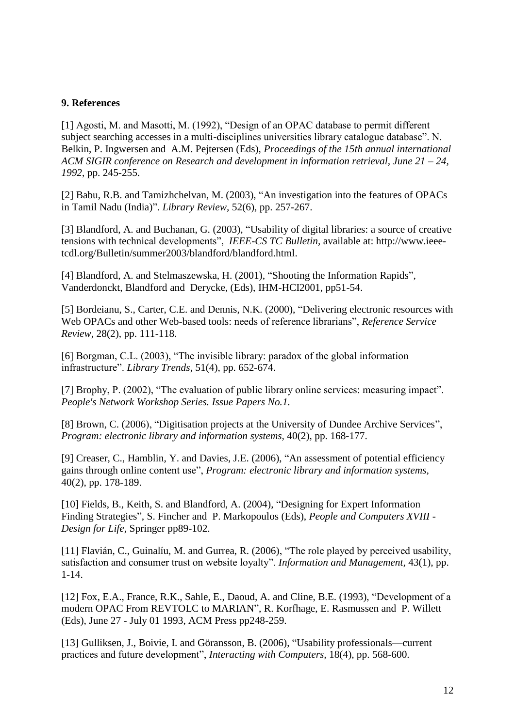#### **9. References**

[1] Agosti, M. and Masotti, M. (1992), "Design of an OPAC database to permit different subject searching accesses in a multi-disciplines universities library catalogue database". N. Belkin, P. Ingwersen and A.M. Pejtersen (Eds), *Proceedings of the 15th annual international ACM SIGIR conference on Research and development in information retrieval, June 21 – 24, 1992*, pp. 245-255.

[2] Babu, R.B. and Tamizhchelvan, M. (2003), "An investigation into the features of OPACs in Tamil Nadu (India)". *Library Review,* 52(6), pp. 257-267.

[3] Blandford, A. and Buchanan, G. (2003), "Usability of digital libraries: a source of creative tensions with technical developments", *IEEE-CS TC Bulletin,* available at: http://www.ieeetcdl.org/Bulletin/summer2003/blandford/blandford.html.

[4] Blandford, A. and Stelmaszewska, H. (2001), "Shooting the Information Rapids", Vanderdonckt, Blandford and Derycke, (Eds), IHM-HCI2001, pp51-54.

[5] Bordeianu, S., Carter, C.E. and Dennis, N.K. (2000), "Delivering electronic resources with Web OPACs and other Web-based tools: needs of reference librarians", *Reference Service Review,* 28(2), pp. 111-118.

[6] Borgman, C.L. (2003), "The invisible library: paradox of the global information infrastructure". *Library Trends,* 51(4), pp. 652-674.

[7] Brophy, P. (2002), "The evaluation of public library online services: measuring impact". *People's Network Workshop Series. Issue Papers No.1.*

[8] Brown, C. (2006), "Digitisation projects at the University of Dundee Archive Services", *Program: electronic library and information systems,* 40(2), pp. 168-177.

[9] Creaser, C., Hamblin, Y. and Davies, J.E. (2006), "An assessment of potential efficiency gains through online content use", *Program: electronic library and information systems,*  40(2), pp. 178-189.

[10] Fields, B., Keith, S. and Blandford, A. (2004), "Designing for Expert Information Finding Strategies", S. Fincher and P. Markopoulos (Eds), *People and Computers XVIII - Design for Life,* Springer pp89-102.

[11] Flavián, C., Guinalíu, M. and Gurrea, R. (2006), "The role played by perceived usability, satisfaction and consumer trust on website loyalty". *Information and Management,* 43(1), pp. 1-14.

[12] Fox, E.A., France, R.K., Sahle, E., Daoud, A. and Cline, B.E. (1993), "Development of a modern OPAC From REVTOLC to MARIAN", R. Korfhage, E. Rasmussen and P. Willett (Eds), June 27 - July 01 1993, ACM Press pp248-259.

[13] Gulliksen, J., Boivie, I. and Göransson, B. (2006), "Usability professionals—current practices and future development", *Interacting with Computers,* 18(4), pp. 568-600.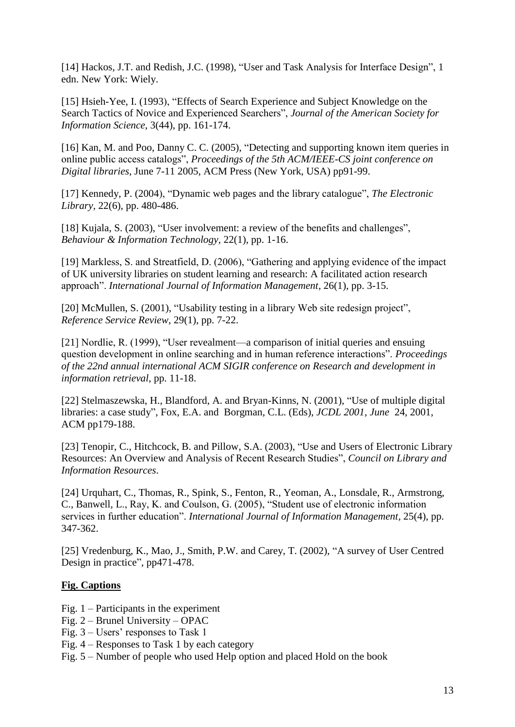[14] Hackos, J.T. and Redish, J.C. (1998), "User and Task Analysis for Interface Design", 1 edn. New York: Wiely.

[15] Hsieh-Yee, I. (1993), "Effects of Search Experience and Subject Knowledge on the Search Tactics of Novice and Experienced Searchers", *Journal of the American Society for Information Science,* 3(44), pp. 161-174.

[16] Kan, M. and Poo, Danny C. C. (2005), "Detecting and supporting known item queries in online public access catalogs", *Proceedings of the 5th ACM/IEEE-CS joint conference on Digital libraries,* June 7-11 2005, ACM Press (New York, USA) pp91-99.

[17] Kennedy, P. (2004), "Dynamic web pages and the library catalogue", *The Electronic Library,* 22(6), pp. 480-486.

[18] Kujala, S. (2003), "User involvement: a review of the benefits and challenges", *Behaviour & Information Technology,* 22(1), pp. 1-16.

[19] Markless, S. and Streatfield, D. (2006), "Gathering and applying evidence of the impact of UK university libraries on student learning and research: A facilitated action research approach". *International Journal of Information Management,* 26(1), pp. 3-15.

[20] McMullen, S. (2001), "Usability testing in a library Web site redesign project", *Reference Service Review,* 29(1), pp. 7-22.

[21] Nordlie, R. (1999), "User revealment—a comparison of initial queries and ensuing question development in online searching and in human reference interactions". *Proceedings of the 22nd annual international ACM SIGIR conference on Research and development in information retrieval*, pp. 11-18.

[22] Stelmaszewska, H., Blandford, A. and Bryan-Kinns, N. (2001), "Use of multiple digital libraries: a case study", Fox, E.A. and Borgman, C.L. (Eds), *JCDL 2001, June* 24, 2001, ACM pp179-188.

[23] Tenopir, C., Hitchcock, B. and Pillow, S.A. (2003), "Use and Users of Electronic Library Resources: An Overview and Analysis of Recent Research Studies", *Council on Library and Information Resources*.

[24] Urquhart, C., Thomas, R., Spink, S., Fenton, R., Yeoman, A., Lonsdale, R., Armstrong, C., Banwell, L., Ray, K. and Coulson, G. (2005), "Student use of electronic information services in further education". *International Journal of Information Management,* 25(4), pp. 347-362.

[25] Vredenburg, K., Mao, J., Smith, P.W. and Carey, T. (2002), "A survey of User Centred Design in practice", pp471-478.

### **Fig. Captions**

- Fig. 1 Participants in the experiment
- Fig. 2 Brunel University OPAC
- Fig. 3 Users' responses to Task 1
- Fig. 4 Responses to Task 1 by each category

Fig. 5 – Number of people who used Help option and placed Hold on the book